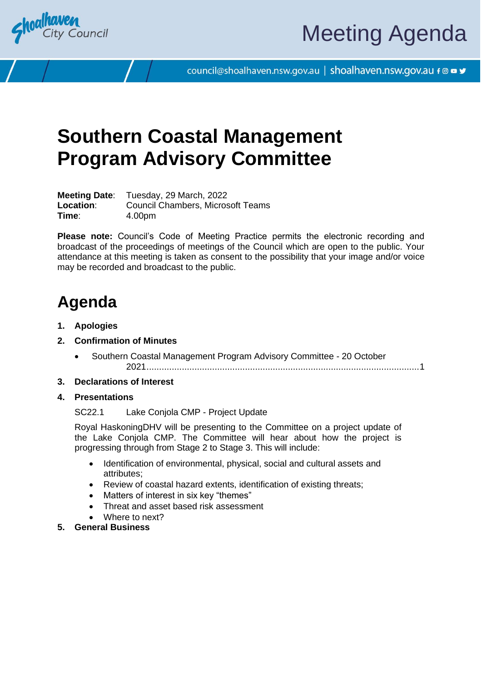

council@shoalhaven.nsw.gov.au | shoalhaven.nsw.gov.au f @ ■ y

## **Southern Coastal Management Program Advisory Committee**

**Meeting Date**: Tuesday, 29 March, 2022 **Location**: Council Chambers, Microsoft Teams **Time**: 4.00pm

**Please note:** Council's Code of Meeting Practice permits the electronic recording and broadcast of the proceedings of meetings of the Council which are open to the public. Your attendance at this meeting is taken as consent to the possibility that your image and/or voice may be recorded and broadcast to the public.

## **Agenda**

- **1. Apologies**
- **2. Confirmation of Minutes**
	- Southern Coastal Management Program Advisory Committee 20 October 2021...........................................................................................................[.1](#page-2-0)

#### **3. Declarations of Interest**

**4. Presentations**

SC22.1 Lake Conjola CMP - Project Update

Royal HaskoningDHV will be presenting to the Committee on a project update of the Lake Conjola CMP. The Committee will hear about how the project is progressing through from Stage 2 to Stage 3. This will include:

- Identification of environmental, physical, social and cultural assets and attributes;
- Review of coastal hazard extents, identification of existing threats;
- Matters of interest in six key "themes"
- Threat and asset based risk assessment
- Where to next?
- **5. General Business**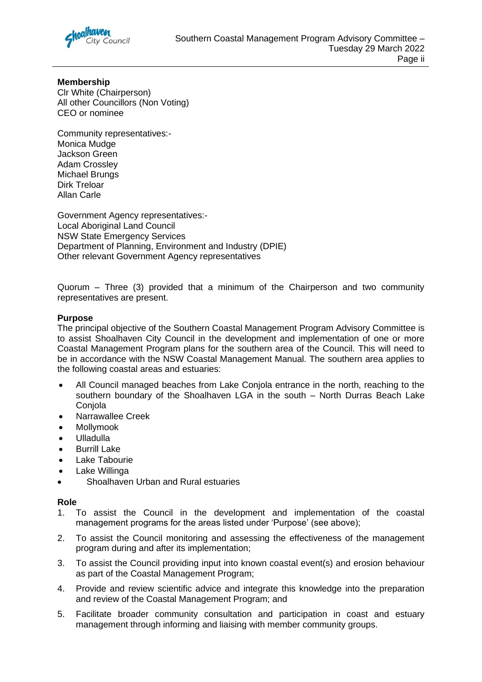

### **Membership**

Clr White (Chairperson) All other Councillors (Non Voting) CEO or nominee

Community representatives:- Monica Mudge Jackson Green Adam Crossley Michael Brungs Dirk Treloar Allan Carle

Government Agency representatives:- Local Aboriginal Land Council NSW State Emergency Services Department of Planning, Environment and Industry (DPIE) Other relevant Government Agency representatives

Quorum – Three (3) provided that a minimum of the Chairperson and two community representatives are present.

#### **Purpose**

The principal objective of the Southern Coastal Management Program Advisory Committee is to assist Shoalhaven City Council in the development and implementation of one or more Coastal Management Program plans for the southern area of the Council. This will need to be in accordance with the NSW Coastal Management Manual. The southern area applies to the following coastal areas and estuaries:

- All Council managed beaches from Lake Conjola entrance in the north, reaching to the southern boundary of the Shoalhaven LGA in the south – North Durras Beach Lake Coniola
- Narrawallee Creek
- Mollymook
- Ulladulla
- **Burrill Lake**
- Lake Tabourie
- Lake Willinga
- Shoalhaven Urban and Rural estuaries

#### **Role**

- 1. To assist the Council in the development and implementation of the coastal management programs for the areas listed under 'Purpose' (see above);
- 2. To assist the Council monitoring and assessing the effectiveness of the management program during and after its implementation;
- 3. To assist the Council providing input into known coastal event(s) and erosion behaviour as part of the Coastal Management Program;
- 4. Provide and review scientific advice and integrate this knowledge into the preparation and review of the Coastal Management Program; and
- 5. Facilitate broader community consultation and participation in coast and estuary management through informing and liaising with member community groups.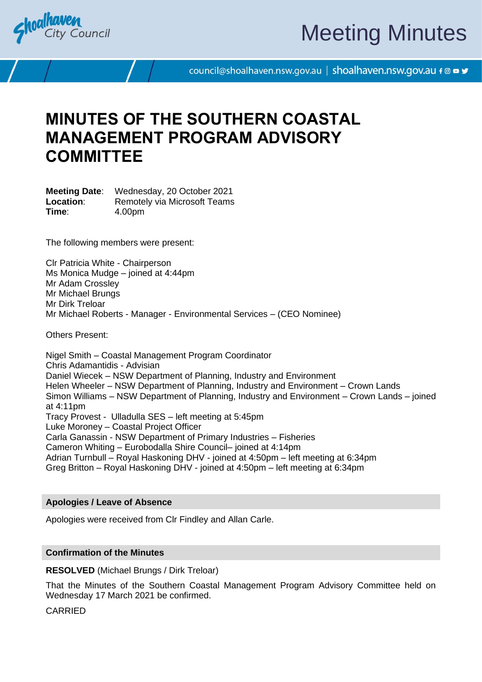<span id="page-2-0"></span>

# Meeting Minutes

council@shoalhaven.nsw.gov.au | shoalhaven.nsw.gov.au f @ ■ y

## **MINUTES OF THE SOUTHERN COASTAL MANAGEMENT PROGRAM ADVISORY COMMITTEE**

**Meeting Date**: Wednesday, 20 October 2021 **Location:** Remotely via Microsoft Teams **Time**: 4.00pm

The following members were present:

Clr Patricia White - Chairperson Ms Monica Mudge – joined at 4:44pm Mr Adam Crossley Mr Michael Brungs Mr Dirk Treloar Mr Michael Roberts - Manager - Environmental Services – (CEO Nominee)

Others Present:

Nigel Smith – Coastal Management Program Coordinator Chris Adamantidis - Advisian Daniel Wiecek – NSW Department of Planning, Industry and Environment Helen Wheeler – NSW Department of Planning, Industry and Environment – Crown Lands Simon Williams – NSW Department of Planning, Industry and Environment – Crown Lands – joined at 4:11pm Tracy Provest - Ulladulla SES – left meeting at 5:45pm Luke Moroney – Coastal Project Officer Carla Ganassin - NSW Department of Primary Industries – Fisheries Cameron Whiting – Eurobodalla Shire Council– joined at 4:14pm Adrian Turnbull – Royal Haskoning DHV - joined at 4:50pm – left meeting at 6:34pm Greg Britton – Royal Haskoning DHV - joined at 4:50pm – left meeting at 6:34pm

#### **Apologies / Leave of Absence**

Apologies were received from Clr Findley and Allan Carle.

#### **Confirmation of the Minutes**

**RESOLVED** (Michael Brungs / Dirk Treloar)

That the Minutes of the Southern Coastal Management Program Advisory Committee held on Wednesday 17 March 2021 be confirmed.

CARRIED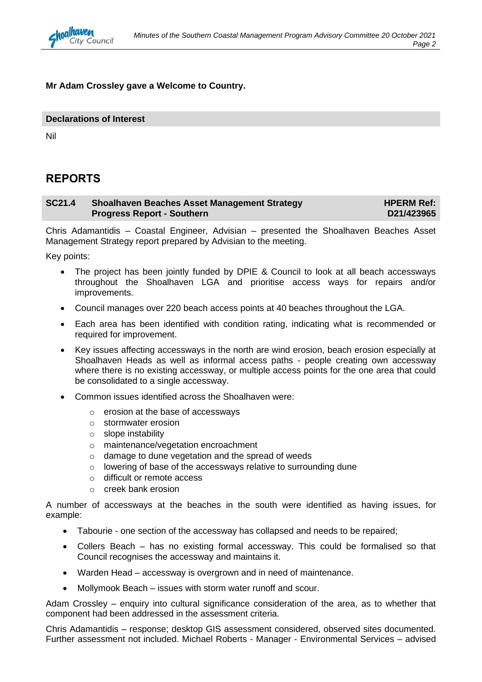

#### **Mr Adam Crossley gave a Welcome to Country.**

#### **Declarations of Interest**

Nil

#### **REPORTS**

#### **SC21.4 Shoalhaven Beaches Asset Management Strategy Progress Report - Southern HPERM Ref: D21/423965**

Chris Adamantidis – Coastal Engineer, Advisian – presented the Shoalhaven Beaches Asset Management Strategy report prepared by Advisian to the meeting.

Key points:

- The project has been jointly funded by DPIE & Council to look at all beach accessways throughout the Shoalhaven LGA and prioritise access ways for repairs and/or improvements.
- Council manages over 220 beach access points at 40 beaches throughout the LGA.
- Each area has been identified with condition rating, indicating what is recommended or required for improvement.
- Key issues affecting accessways in the north are wind erosion, beach erosion especially at Shoalhaven Heads as well as informal access paths - people creating own accessway where there is no existing accessway, or multiple access points for the one area that could be consolidated to a single accessway.
- Common issues identified across the Shoalhaven were:
	- o erosion at the base of accessways
	- o stormwater erosion
	- o slope instability
	- o maintenance/vegetation encroachment
	- o damage to dune vegetation and the spread of weeds
	- o lowering of base of the accessways relative to surrounding dune
	- o difficult or remote access
	- o creek bank erosion

A number of accessways at the beaches in the south were identified as having issues, for example:

- Tabourie one section of the accessway has collapsed and needs to be repaired;
- Collers Beach has no existing formal accessway. This could be formalised so that Council recognises the accessway and maintains it.
- Warden Head accessway is overgrown and in need of maintenance.
- Mollymook Beach issues with storm water runoff and scour.

Adam Crossley – enquiry into cultural significance consideration of the area, as to whether that component had been addressed in the assessment criteria.

Chris Adamantidis – response; desktop GIS assessment considered, observed sites documented. Further assessment not included. Michael Roberts - Manager - Environmental Services – advised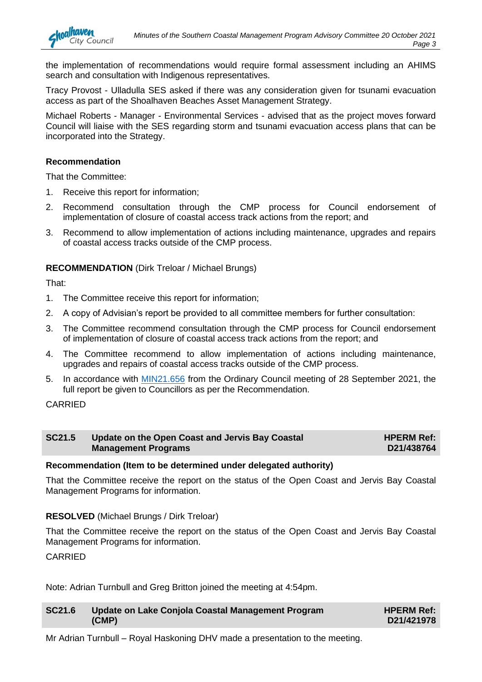the implementation of recommendations would require formal assessment including an AHIMS search and consultation with Indigenous representatives.

Tracy Provost - Ulladulla SES asked if there was any consideration given for tsunami evacuation access as part of the Shoalhaven Beaches Asset Management Strategy.

Michael Roberts - Manager - Environmental Services - advised that as the project moves forward Council will liaise with the SES regarding storm and tsunami evacuation access plans that can be incorporated into the Strategy.

#### **Recommendation**

nalhaven

That the Committee:

- 1. Receive this report for information;
- 2. Recommend consultation through the CMP process for Council endorsement of implementation of closure of coastal access track actions from the report; and
- 3. Recommend to allow implementation of actions including maintenance, upgrades and repairs of coastal access tracks outside of the CMP process.

#### **RECOMMENDATION** (Dirk Treloar / Michael Brungs)

That:

- 1. The Committee receive this report for information;
- 2. A copy of Advisian's report be provided to all committee members for further consultation:
- 3. The Committee recommend consultation through the CMP process for Council endorsement of implementation of closure of coastal access track actions from the report; and
- 4. The Committee recommend to allow implementation of actions including maintenance, upgrades and repairs of coastal access tracks outside of the CMP process.
- 5. In accordance with [MIN21.656](https://shoalhaven.infocouncil.biz/Open/2021/09/CL_20210928_MIN_16430_WEB.htm) from the Ordinary Council meeting of 28 September 2021, the full report be given to Councillors as per the Recommendation.

#### CARRIED

| <b>SC21.5</b> | Update on the Open Coast and Jervis Bay Coastal | <b>HPERM Ref:</b> |
|---------------|-------------------------------------------------|-------------------|
|               | <b>Management Programs</b>                      | D21/438764        |

#### **Recommendation (Item to be determined under delegated authority)**

That the Committee receive the report on the status of the Open Coast and Jervis Bay Coastal Management Programs for information.

#### **RESOLVED** (Michael Brungs / Dirk Treloar)

That the Committee receive the report on the status of the Open Coast and Jervis Bay Coastal Management Programs for information.

#### **CARRIED**

Note: Adrian Turnbull and Greg Britton joined the meeting at 4:54pm.

| <b>SC21.6</b> | Update on Lake Conjola Coastal Management Program | <b>HPERM Ref:</b> |
|---------------|---------------------------------------------------|-------------------|
|               | (CMP)                                             | D21/421978        |

Mr Adrian Turnbull – Royal Haskoning DHV made a presentation to the meeting.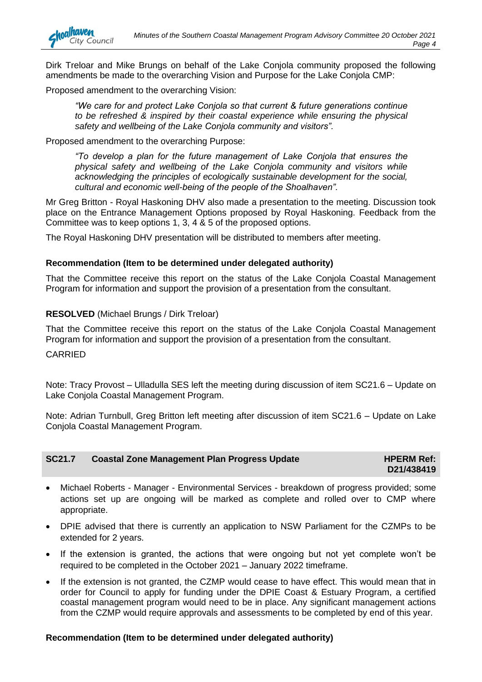Dirk Treloar and Mike Brungs on behalf of the Lake Conjola community proposed the following amendments be made to the overarching Vision and Purpose for the Lake Conjola CMP:

Proposed amendment to the overarching Vision:

*"We care for and protect Lake Conjola so that current & future generations continue to be refreshed & inspired by their coastal experience while ensuring the physical safety and wellbeing of the Lake Conjola community and visitors".*

Proposed amendment to the overarching Purpose:

*"To develop a plan for the future management of Lake Conjola that ensures the physical safety and wellbeing of the Lake Conjola community and visitors while acknowledging the principles of ecologically sustainable development for the social, cultural and economic well-being of the people of the Shoalhaven".*

Mr Greg Britton - Royal Haskoning DHV also made a presentation to the meeting. Discussion took place on the Entrance Management Options proposed by Royal Haskoning. Feedback from the Committee was to keep options 1, 3, 4 & 5 of the proposed options.

The Royal Haskoning DHV presentation will be distributed to members after meeting.

#### **Recommendation (Item to be determined under delegated authority)**

That the Committee receive this report on the status of the Lake Conjola Coastal Management Program for information and support the provision of a presentation from the consultant.

#### **RESOLVED** (Michael Brungs / Dirk Treloar)

That the Committee receive this report on the status of the Lake Conjola Coastal Management Program for information and support the provision of a presentation from the consultant.

#### CARRIED

nalhaven

**City Council** 

Note: Tracy Provost – Ulladulla SES left the meeting during discussion of item SC21.6 – Update on Lake Conjola Coastal Management Program.

Note: Adrian Turnbull, Greg Britton left meeting after discussion of item SC21.6 – Update on Lake Conjola Coastal Management Program.

| <b>SC21.7</b> | <b>Coastal Zone Management Plan Progress Update</b> | <b>HPERM Ref:</b> |
|---------------|-----------------------------------------------------|-------------------|
|               |                                                     | D21/438419        |

- Michael Roberts Manager Environmental Services breakdown of progress provided; some actions set up are ongoing will be marked as complete and rolled over to CMP where appropriate.
- DPIE advised that there is currently an application to NSW Parliament for the CZMPs to be extended for 2 years.
- If the extension is granted, the actions that were ongoing but not yet complete won't be required to be completed in the October 2021 – January 2022 timeframe.
- If the extension is not granted, the CZMP would cease to have effect. This would mean that in order for Council to apply for funding under the DPIE Coast & Estuary Program, a certified coastal management program would need to be in place. Any significant management actions from the CZMP would require approvals and assessments to be completed by end of this year.

#### **Recommendation (Item to be determined under delegated authority)**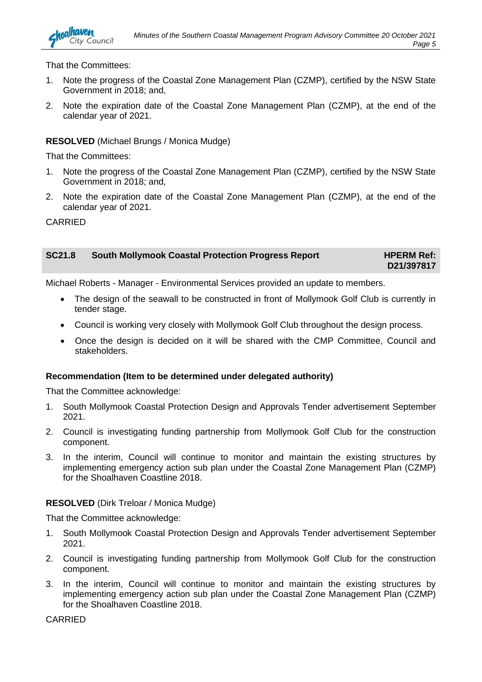That the Committees:

- 1. Note the progress of the Coastal Zone Management Plan (CZMP), certified by the NSW State Government in 2018; and,
- 2. Note the expiration date of the Coastal Zone Management Plan (CZMP), at the end of the calendar year of 2021.

#### **RESOLVED** (Michael Brungs / Monica Mudge)

That the Committees:

- 1. Note the progress of the Coastal Zone Management Plan (CZMP), certified by the NSW State Government in 2018; and,
- 2. Note the expiration date of the Coastal Zone Management Plan (CZMP), at the end of the calendar year of 2021.

CARRIED

**SC21.8 South Mollymook Coastal Protection Progress Report HPERM Ref: D21/397817**

Michael Roberts - Manager - Environmental Services provided an update to members.

- The design of the seawall to be constructed in front of Mollymook Golf Club is currently in tender stage.
- Council is working very closely with Mollymook Golf Club throughout the design process.
- Once the design is decided on it will be shared with the CMP Committee, Council and stakeholders.

#### **Recommendation (Item to be determined under delegated authority)**

That the Committee acknowledge:

- 1. South Mollymook Coastal Protection Design and Approvals Tender advertisement September 2021.
- 2. Council is investigating funding partnership from Mollymook Golf Club for the construction component.
- 3. In the interim, Council will continue to monitor and maintain the existing structures by implementing emergency action sub plan under the Coastal Zone Management Plan (CZMP) for the Shoalhaven Coastline 2018.

#### **RESOLVED** (Dirk Treloar / Monica Mudge)

That the Committee acknowledge:

- 1. South Mollymook Coastal Protection Design and Approvals Tender advertisement September 2021.
- 2. Council is investigating funding partnership from Mollymook Golf Club for the construction component.
- 3. In the interim, Council will continue to monitor and maintain the existing structures by implementing emergency action sub plan under the Coastal Zone Management Plan (CZMP) for the Shoalhaven Coastline 2018.

**CARRIED**